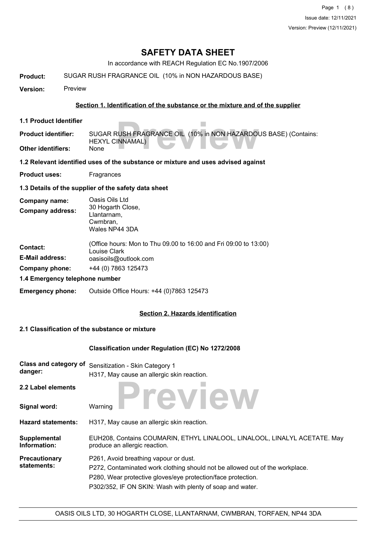In accordance with REACH Regulation EC No.1907/2006

**Product:** SUGAR RUSH FRAGRANCE OIL (10% in NON HAZARDOUS BASE)

**Version:** Preview

#### **Section 1. Identification of the substance or the mixture and of the supplier**

**1.1 Product Identifier**

RUSH FRAGRANCE OIL (10% in NON HAZARDOI<br>INNAMAL) SUGAR RUSH FRAGRANCE OIL (10% in NON HAZARDOUS BASE) (Contains: HEXYL CINNAMAL) **Product identifier:**

**Other identifiers:** None

**1.2 Relevant identified uses of the substance or mixture and uses advised against**

**Product uses:** Fragrances

**1.3 Details of the supplier of the safety data sheet**

| Company name:                  | Oasis Oils Ltd                                                                   |
|--------------------------------|----------------------------------------------------------------------------------|
| <b>Company address:</b>        | 30 Hogarth Close,<br>Llantarnam,<br>Cwmbran,<br>Wales NP44 3DA                   |
| <b>Contact:</b>                | (Office hours: Mon to Thu 09.00 to 16:00 and Fri 09:00 to 13:00)<br>Louise Clark |
| <b>E-Mail address:</b>         | oasisoils@outlook.com                                                            |
| Company phone:                 | +44 (0) 7863 125473                                                              |
| 1.4 Emergency telephone number |                                                                                  |

**Emergency phone:** Outside Office Hours: +44 (0)7863 125473

#### **Section 2. Hazards identification**

#### **2.1 Classification of the substance or mixture**

#### **Classification under Regulation (EC) No 1272/2008**

| Class and category of<br>danger:    | Sensitization - Skin Category 1<br>H317, May cause an allergic skin reaction.                                                                                                                                                                      |  |
|-------------------------------------|----------------------------------------------------------------------------------------------------------------------------------------------------------------------------------------------------------------------------------------------------|--|
| 2.2 Label elements                  | Teview                                                                                                                                                                                                                                             |  |
| Signal word:                        | Warning                                                                                                                                                                                                                                            |  |
| <b>Hazard statements:</b>           | H317, May cause an allergic skin reaction.                                                                                                                                                                                                         |  |
| Supplemental<br>Information:        | EUH208, Contains COUMARIN, ETHYL LINALOOL, LINALOOL, LINALYL ACETATE. May<br>produce an allergic reaction.                                                                                                                                         |  |
| <b>Precautionary</b><br>statements: | P261, Avoid breathing vapour or dust.<br>P272, Contaminated work clothing should not be allowed out of the workplace.<br>P280, Wear protective gloves/eye protection/face protection.<br>P302/352, IF ON SKIN: Wash with plenty of soap and water. |  |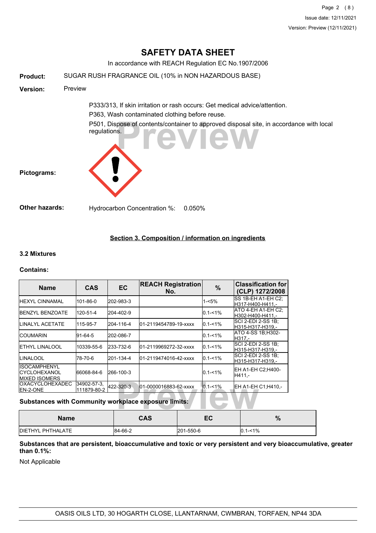In accordance with REACH Regulation EC No.1907/2006

| <b>Product:</b>       | SUGAR RUSH FRAGRANCE OIL (10% in NON HAZARDOUS BASE)                                                                         |
|-----------------------|------------------------------------------------------------------------------------------------------------------------------|
| <b>Version:</b>       | Preview                                                                                                                      |
|                       | P333/313, If skin irritation or rash occurs: Get medical advice/attention.<br>P363, Wash contaminated clothing before reuse. |
| Pictograms:           | P501, Dispose of contents/container to approved disposal site, in accordance with local<br>regulations.<br><b>WIEW</b>       |
| <b>Other hazards:</b> | Hydrocarbon Concentration %:<br>$0.050\%$                                                                                    |

## **Section 3. Composition / information on ingredients**

#### **3.2 Mixtures**

#### **Contains:**

| <b>Name</b>                                                 | <b>CAS</b>                 | <b>EC</b> | <b>REACH Registration</b><br>No. | $\%$        | <b>Classification for</b><br>(CLP) 1272/2008  |
|-------------------------------------------------------------|----------------------------|-----------|----------------------------------|-------------|-----------------------------------------------|
| <b>IHEXYL CINNAMAL</b>                                      | 101-86-0                   | 202-983-3 |                                  | 1-<5%       | <b>SS 1B-EH A1-EH C2:</b><br>H317-H400-H411.- |
| <b>I</b> BENZYL BENZOATE                                    | 120-51-4                   | 204-402-9 |                                  | $0.1 - 1\%$ | IATO 4-EH A1-EH C2:<br>lH302-H400-H411.-      |
| ILINALYL ACETATE                                            | 115-95-7                   | 204-116-4 | 01-2119454789-19-xxxx            | $0.1 - 1\%$ | SCI 2-EDI 2-SS 1B:<br>lH315-H317-H319.-       |
| ICOUMARIN                                                   | 91-64-5                    | 202-086-7 |                                  | $0.1 - 1\%$ | ATO 4-SS 1B;H302-<br>H317.-                   |
| <b>I</b> ETHYL LINALOOL                                     | 10339-55-6                 | 233-732-6 | l01-2119969272-32-xxxx           | $0.1 - 1\%$ | SCI 2-EDI 2-SS 1B:<br>lH315-H317-H319.-       |
| ILINALOOL                                                   | 78-70-6                    | 201-134-4 | l01-2119474016-42-xxxx           | $0.1 - 1\%$ | SCI 2-EDI 2-SS 1B:<br>lH315-H317-H319.-       |
| IISOCAMPHENYL<br>ICYCLOHEXANOL<br><b>IMIXED ISOMERS</b>     | 66068-84-6                 | 266-100-3 |                                  | $0.1 - 1\%$ | EH A1-EH C2:H400-<br>H411.-                   |
| <b>I</b> OXACYCLOHEXADEC<br>EN-2-ONE                        | 34902-57-3.<br>111879-80-2 | 422-320-3 | 01-0000016883-62-xxxx            | $0.1 - 1\%$ | EH A1-EH C1; H410,-                           |
| <b>Substances with Community workplace exposure limits:</b> |                            |           |                                  |             |                                               |

## **Substances with Community workplace exposure limits:**

| <b>Name</b>               | <b>CAS</b> | EC        | 07<br>70      |
|---------------------------|------------|-----------|---------------|
| <b>IDIETHYL PHTHALATE</b> | 84-66-2    | 201-550-6 | $ 0.1 - 1\% $ |

#### **Substances that are persistent, bioaccumulative and toxic or very persistent and very bioaccumulative, greater than 0.1%:**

Not Applicable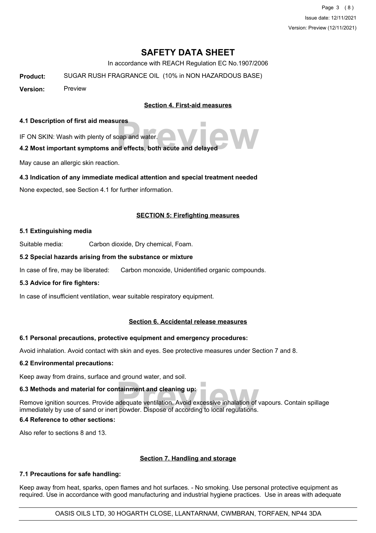Page 3 (8) Issue date: 12/11/2021 Version: Preview (12/11/2021)

# **SAFETY DATA SHEET**

In accordance with REACH Regulation EC No.1907/2006

**Product:** SUGAR RUSH FRAGRANCE OIL (10% in NON HAZARDOUS BASE)

**Version:** Preview

**Section 4. First-aid measures**

#### **4.1 Description of first aid measures**

IF ON SKIN: Wash with plenty of soap and water.

# pape and water.<br> **Previous and effects, both acute and delayed 4.2 Most important symptoms and effects, both acute and delayed**

May cause an allergic skin reaction.

#### **4.3 Indication of any immediate medical attention and special treatment needed**

None expected, see Section 4.1 for further information.

#### **SECTION 5: Firefighting measures**

#### **5.1 Extinguishing media**

Suitable media: Carbon dioxide, Dry chemical, Foam.

#### **5.2 Special hazards arising from the substance or mixture**

In case of fire, may be liberated: Carbon monoxide, Unidentified organic compounds.

#### **5.3 Advice for fire fighters:**

In case of insufficient ventilation, wear suitable respiratory equipment.

#### **Section 6. Accidental release measures**

#### **6.1 Personal precautions, protective equipment and emergency procedures:**

Avoid inhalation. Avoid contact with skin and eyes. See protective measures under Section 7 and 8.

#### **6.2 Environmental precautions:**

Keep away from drains, surface and ground water, and soil.

#### **6.3 Methods and material for containment and cleaning up:**

**Example 15**<br> **Previolence According to the Security Security Security Security Security Security Security Security Security**<br> **Provider** Suppose of according to local regulations. Remove ignition sources. Provide adequate ventilation. Avoid excessive inhalation of vapours. Contain spillage immediately by use of sand or inert powder. Dispose of according to local regulations.

#### **6.4 Reference to other sections:**

Also refer to sections 8 and 13.

#### **Section 7. Handling and storage**

#### **7.1 Precautions for safe handling:**

Keep away from heat, sparks, open flames and hot surfaces. - No smoking. Use personal protective equipment as required. Use in accordance with good manufacturing and industrial hygiene practices. Use in areas with adequate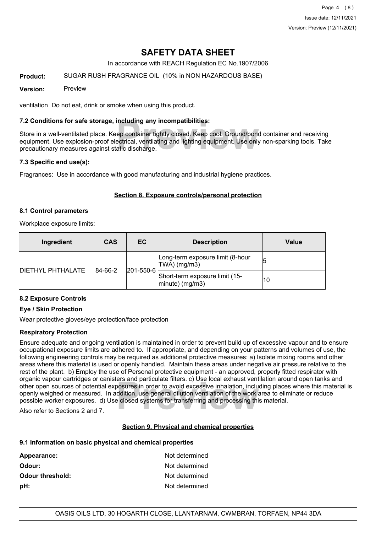In accordance with REACH Regulation EC No.1907/2006

#### **Product:** SUGAR RUSH FRAGRANCE OIL (10% in NON HAZARDOUS BASE)

#### **Version:** Preview

ventilation Do not eat, drink or smoke when using this product.

#### **7.2 Conditions for safe storage, including any incompatibilities:**

**Including any incompatibilities:**<br>ep container tightly closed. Keep cool. Ground/bone<br>ectrical, ventilating and lighting equipment. Use only<br>atic discharge. Store in a well-ventilated place. Keep container tightly closed. Keep cool. Ground/bond container and receiving equipment. Use explosion-proof electrical, ventilating and lighting equipment. Use only non-sparking tools. Take precautionary measures against static discharge.

#### **7.3 Specific end use(s):**

Fragrances: Use in accordance with good manufacturing and industrial hygiene practices.

#### **Section 8. Exposure controls/personal protection**

#### **8.1 Control parameters**

Workplace exposure limits:

| Ingredient                           | <b>CAS</b> | EC                                                    | <b>Description</b>                               | Value |
|--------------------------------------|------------|-------------------------------------------------------|--------------------------------------------------|-------|
|                                      |            |                                                       | Long-term exposure limit (8-hour<br>TWA) (mg/m3) | 15    |
| <b>IDIETHYL PHTHALATE</b><br>84-66-2 | 201-550-6  | Short-term exposure limit (15-<br>$ $ minute) (mg/m3) | 10                                               |       |

### **8.2 Exposure Controls**

#### **Eye / Skin Protection**

Wear protective gloves/eye protection/face protection

#### **Respiratory Protection**

**Provided Aristopher School of the World School School School School School School School School School School School School School School School School School School School School School School School School School School** Ensure adequate and ongoing ventilation is maintained in order to prevent build up of excessive vapour and to ensure occupational exposure limits are adhered to. If appropriate, and depending on your patterns and volumes of use, the following engineering controls may be required as additional protective measures: a) Isolate mixing rooms and other areas where this material is used or openly handled. Maintain these areas under negative air pressure relative to the rest of the plant. b) Employ the use of Personal protective equipment - an approved, properly fitted respirator with organic vapour cartridges or canisters and particulate filters. c) Use local exhaust ventilation around open tanks and other open sources of potential exposures in order to avoid excessive inhalation, including places where this material is openly weighed or measured. In addition, use general dilution ventilation of the work area to eliminate or reduce possible worker exposures. d) Use closed systems for transferring and processing this material.

Also refer to Sections 2 and 7.

#### **Section 9. Physical and chemical properties**

#### **9.1 Information on basic physical and chemical properties**

| Appearance:             | Not determined |
|-------------------------|----------------|
| Odour:                  | Not determined |
| <b>Odour threshold:</b> | Not determined |
| pH:                     | Not determined |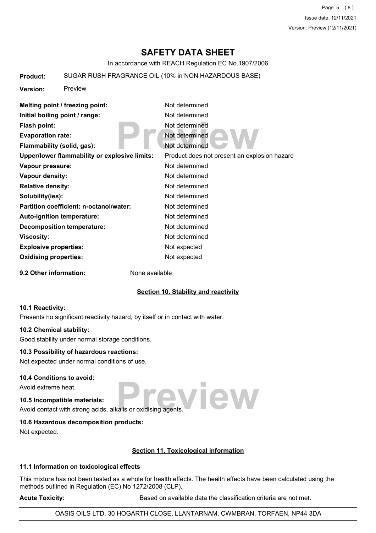Page 5 (8) Issue date: 12/11/2021 Version: Preview (12/11/2021)

# **SAFETY DATA SHEET**

In accordance with REACH Regulation EC No.1907/2006

#### **Product:** SUGAR RUSH FRAGRANCE OIL (10% in NON HAZARDOUS BASE)

**Version:** Preview

| Melting point / freezing point:               | Not determined                               |
|-----------------------------------------------|----------------------------------------------|
| Initial boiling point / range:                | Not determined                               |
| Flash point:                                  | Not determined                               |
| <b>Evaporation rate:</b>                      | Not determined                               |
| Flammability (solid, gas):                    | Not determined                               |
| Upper/lower flammability or explosive limits: | Product does not present an explosion hazard |
| Vapour pressure:                              | Not determined                               |
| Vapour density:                               | Not determined                               |
| <b>Relative density:</b>                      | Not determined                               |
| Solubility(ies):                              | Not determined                               |
| Partition coefficient: n-octanol/water:       | Not determined                               |
| <b>Auto-ignition temperature:</b>             | Not determined                               |
| <b>Decomposition temperature:</b>             | Not determined                               |
| <b>Viscosity:</b>                             | Not determined                               |
| <b>Explosive properties:</b>                  | Not expected                                 |
| <b>Oxidising properties:</b>                  | Not expected                                 |
|                                               |                                              |

**9.2 Other information:** None available

#### **Section 10. Stability and reactivity**

#### **10.1 Reactivity:**

Presents no significant reactivity hazard, by itself or in contact with water.

#### **10.2 Chemical stability:**

Good stability under normal storage conditions.

#### **10.3 Possibility of hazardous reactions:**

Not expected under normal conditions of use.

#### **10.4 Conditions to avoid:**

Avoid extreme heat.

# **10.5 Incompatible materials:**

**Preview** Avoid contact with strong acids, alkalis or oxidising agents.

#### **10.6 Hazardous decomposition products:**

Not expected.

#### **Section 11. Toxicological information**

#### **11.1 Information on toxicological effects**

This mixture has not been tested as a whole for health effects. The health effects have been calculated using the methods outlined in Regulation (EC) No 1272/2008 (CLP).

Acute Toxicity: **Acute Toxicity:** Based on available data the classification criteria are not met.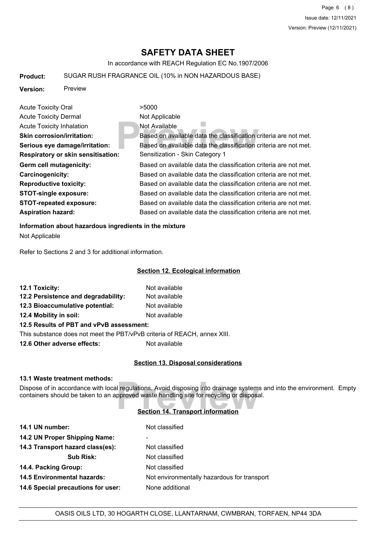In accordance with REACH Regulation EC No.1907/2006

#### **Product:** SUGAR RUSH FRAGRANCE OIL (10% in NON HAZARDOUS BASE)

**Version:** Preview

**Previously**<br> **Previously**<br> **Previously**<br> **Previously**<br> **Previously**<br> **Previously**<br> **Previously**<br> **Previously**<br> **Previously**<br> **Previously**<br> **Previously**<br> **Previously**<br> **Previously**<br> **Previously**<br> **Previously**<br> **Previously** Acute Toxicity Oral **2008** >5000 Acute Toxicity Dermal Not Applicable Acute Toxicity Inhalation Not Available **Skin corrosion/irritation:** Based on available data the classification criteria are not met. **Serious eye damage/irritation:** Based on available data the classification criteria are not met. **Respiratory or skin sensitisation:** Sensitization - Skin Category 1 Germ cell mutagenicity: **Based on available data the classification** criteria are not met. **Carcinogenicity:** Based on available data the classification criteria are not met. **Reproductive toxicity:** Based on available data the classification criteria are not met. **STOT-single exposure:** Based on available data the classification criteria are not met. **STOT-repeated exposure:** Based on available data the classification criteria are not met. Aspiration hazard: **Based on available data the classification criteria are not met.** 

#### **Information about hazardous ingredients in the mixture**

Not Applicable

Refer to Sections 2 and 3 for additional information.

#### **Section 12. Ecological information**

| 12.1 Toxicity:                           | Not available |  |
|------------------------------------------|---------------|--|
| 12.2 Persistence and degradability:      | Not available |  |
| 12.3 Bioaccumulative potential:          | Not available |  |
| 12.4 Mobility in soil:                   | Not available |  |
| 12.5 Results of PBT and vPvB assessment: |               |  |

This substance does not meet the PBT/vPvB criteria of REACH, annex XIII.

**12.6 Other adverse effects:** Not available

#### **Section 13. Disposal considerations**

#### **13.1 Waste treatment methods:**

Il regulations. Avoid disposing into drainage systems<br>pproved waste handling site for recycling or disposal<br>**Section 14. Transport information** Dispose of in accordance with local regulations. Avoid disposing into drainage systems and into the environment. Empty containers should be taken to an approved waste handling site for recycling or disposal.

#### **Section 14. Transport information**

| 14.1 UN number:                    | Not classified                              |
|------------------------------------|---------------------------------------------|
| 14.2 UN Proper Shipping Name:      | ۰                                           |
| 14.3 Transport hazard class(es):   | Not classified                              |
| <b>Sub Risk:</b>                   | Not classified                              |
| 14.4. Packing Group:               | Not classified                              |
| <b>14.5 Environmental hazards:</b> | Not environmentally hazardous for transport |
| 14.6 Special precautions for user: | None additional                             |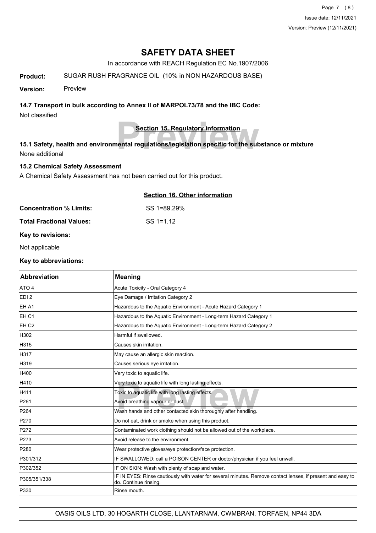In accordance with REACH Regulation EC No.1907/2006

**Product:** SUGAR RUSH FRAGRANCE OIL (10% in NON HAZARDOUS BASE)

**Version:** Preview

#### **14.7 Transport in bulk according to Annex II of MARPOL73/78 and the IBC Code:**

Not classified

**Section 15. Regulatory information**

**Product Section 15. Regulatory information**<br>**Preview in the subset of the subset of the subset of the subset of the subset of the subset of the subset of the subset of the subset of the subset of the subset of the subset 15.1 Safety, health and environmental regulations/legislation specific for the substance or mixture** None additional

## **15.2 Chemical Safety Assessment**

A Chemical Safety Assessment has not been carried out for this product.

## **Section 16. Other information**

**Concentration % Limits:** SS 1=89.29%

**Total Fractional Values:** SS 1=1.12

#### **Key to revisions:**

Not applicable

#### **Key to abbreviations:**

| Abbreviation     | <b>Meaning</b>                                                                                                                     |
|------------------|------------------------------------------------------------------------------------------------------------------------------------|
| ATO 4            | Acute Toxicity - Oral Category 4                                                                                                   |
| EDI <sub>2</sub> | Eye Damage / Irritation Category 2                                                                                                 |
| <b>EHA1</b>      | Hazardous to the Aquatic Environment - Acute Hazard Category 1                                                                     |
| EH <sub>C1</sub> | Hazardous to the Aquatic Environment - Long-term Hazard Category 1                                                                 |
| EH <sub>C2</sub> | Hazardous to the Aquatic Environment - Long-term Hazard Category 2                                                                 |
| H302             | Harmful if swallowed.                                                                                                              |
| H315             | Causes skin irritation.                                                                                                            |
| H317             | May cause an allergic skin reaction.                                                                                               |
| H319             | Causes serious eye irritation.                                                                                                     |
| H400             | Very toxic to aquatic life.                                                                                                        |
| H410             | Very toxic to aquatic life with long lasting effects.                                                                              |
| H411             | Toxic to aquatic life with long lasting effects.                                                                                   |
| P261             | Avoid breathing vapour or dust.                                                                                                    |
| P264             | Wash hands and other contacted skin thoroughly after handling.                                                                     |
| P270             | Do not eat, drink or smoke when using this product.                                                                                |
| P272             | Contaminated work clothing should not be allowed out of the workplace.                                                             |
| P273             | Avoid release to the environment.                                                                                                  |
| P280             | Wear protective gloves/eye protection/face protection.                                                                             |
| P301/312         | IF SWALLOWED: call a POISON CENTER or doctor/physician if you feel unwell.                                                         |
| P302/352         | IF ON SKIN: Wash with plenty of soap and water.                                                                                    |
| P305/351/338     | IF IN EYES: Rinse cautiously with water for several minutes. Remove contact lenses, if present and easy to<br>do. Continue rinsing |
| P330             | Rinse mouth.                                                                                                                       |